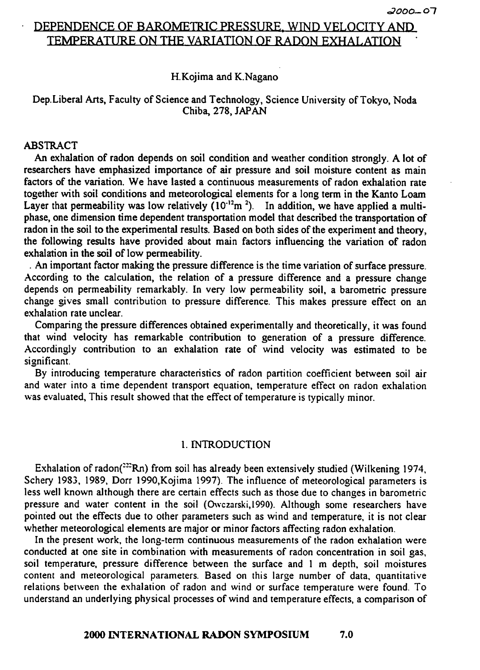# DEPENDENCE OF BAROMETRIC PRESSURE, WIND VELOCITY AND TEMPERATURE ON THE VARIATION OF RADON EXHALATION

### H.Kojima and K.Nagano

# Dep.Liberal Arts, Faculty of Science and Technology, Science University of Tokyo, Noda Chiba, 278, **JAPAN**

### ABSTRACT

**An** exhalation of radon depends on soil condition and weather condition strongly. A lot of researchers have emphasized importance of air pressure and soil moisture content as main factors of the variation. We have lasted a continuous measurements of radon exhalation rate together with soil conditions and meteorologicd elements for a long term in the Kanto Loam Layer that permeability was low relatively  $(10^{-12}m^2)$ . In addition, we have applied a multiphase, one dimension time dependent transportation model that described the transportation of radon in the soil to the experimental results. Based on both sides of the experiment and theory, the following results have provided about main factors influencing the variation of radon exhalation in the soil of low permeability.

. **An** important factor making the pressure difference is the time variation of sufiace pressure. According to the calculation, the relation of a pressure difference and a pressure change depends on permeability remarkably. In very low permeability soil, a barometric pressure change gives small contribution to pressure difference. This makes pressure effect on an exhalation rate unclear.

Comparing the pressure differences obtained experimentally and theoretically, it was found that wind velocity has remarkable contribution to generation of a pressure difference. Accordingly contribution to an exhalation rate of wind velocity was estimated to be significant.

By introducing temperature characteristics of radon partition coefficient between soil air and water into a time dependent transport equation, temperature effect on radon exhalation was evaluated, This result showed that the effect of temperature is typically minor.

### 1. INTRODUCTION

Exhalation of radon( $22$ Rn) from soil has already been extensively studied (Wilkening 1974, Schery 1983, 1989, Dorr 1990,Kojima 1997). The influence of meteorological parameters is less well known although there are certain effects such as those due to changes in barometric pressure and water content in the soil (Owczarski,1990). Although some researchers have pointed out the effects due to other parameters such as wind and temperature, it is not clear whether meteorological elements are major or minor factors affecting radon exhalation.

In the present work, the long-term continuous measurements of the radon exhalation were conducted at one site in combination with measurements of radon concentration in soil gas, soil temperature, pressure difference between the surface and 1 m depth, soil moistures content and meteorological parameters. Based on this large number of data, quantitative relations between the exhalation of radon and wind or surface temperature were found. To understand an underlying physical processes of wind and temperature effects, a comparison of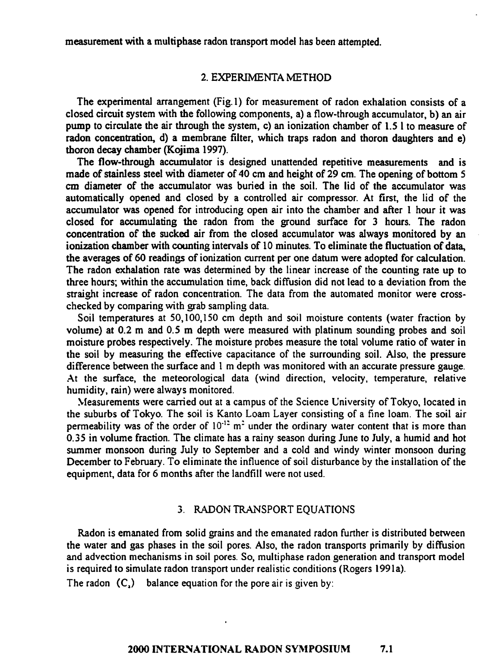measurement **with** a multiphase radon transport model has been attempted.

### 2. **EXPENMENTA** METHOD

The experimental arrangement (Fig.1) for measurement of radon exhalation consists of a closed circuit system with the following components, a) a flow-through accumulator, b) an air pump to circulate the air through the system, c) an ionization chamber of 1.5 1 to measure of radon concentration, d) a membrane filter, which traps radon and thoron daughters and e) thoron decay chamber (Kojima 1997).

The flow-through accumulator is designed unattended repetitive measurements and is made of stainless steel with diameter of 40 cm and height of 29 cm. The opening of bottom 5 cm diameter of the accumulator was buried in the soil. The lid of the accumulator was automatically opened and closed by a controlled air compressor. At first, the lid of the accumulator **was** opened for introducing open air into the chamber and after 1 hour it was closed for accumulating the radon from the ground surface for 3 hours. The radon concentration of the sucked air from the closed accumulator was always monitored by an ionization chamber with counting intervals of 10 minutes. To eliminate the fluctuation of data, **the** averages of 60 readings of ionization current per one datum were adopted for calculation. The radon exhalation rate was determined by the linear increase of the counting rate up to three hours; within the accumulation time, back diffusion did not lead to a deviation from the straight increase of radon concentration. The data from the automated monitor were crosschecked by comparing with grab sampling data.

Soil temperatures at 50,100,150 cm depth and soil moisture contents (water fraction by volume) at 0.2 m and 0.5 m depth were measured with platinum sounding probes and soil moisture probes respectively. The moisture probes measure the total volume ratio of water in the soil by measuring the effective capacitance of the surrounding soil. Also, the pressure difference between the surface and **1** m depth was monitored with an accurate pressure gauge. .At the surface, the meteorological data (wind direction, velocity, temperature, relative humidity, rain) were always monitored.

Measurements were carried out at a campus of the Science University of Tokyo, located in the suburbs of Tokyo. The soil is Kanto Loam Layer consisting of a fine loam. The soil air permeability was of the order of 10<sup>-12</sup> m<sup>2</sup> under the ordinary water content that is more than 0.35 in volume fraction. The climate has a rainy season during June to July, a humid and hot summer monsoon during July to September and a cold and windy winter monsoon during December to February. To eliminate the influence of soil disturbance by the installation of the equipment, data for 6 months after the landfill were not used.

#### **3. RADON TRANSPORT EQUATIONS**

Radon is emanated from solid gains and the emanated radon further is distributed between the water and gas phases in the soil pores. Also, the radon transports primarily by diffision and advection mechanisms in soil pores. So, multiphase radon generation and transport model is required to simulate radon transport under realistic conditions (Rogers 1991a).

The radon  $(C_2)$  balance equation for the pore air is given by: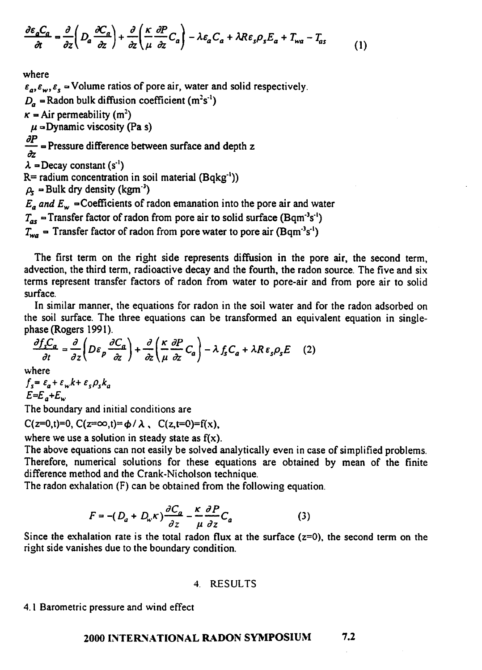$$
\frac{\partial \varepsilon_a C_a}{\partial t} = \frac{\partial}{\partial z} \left( D_a \frac{\partial C_a}{\partial z} \right) + \frac{\partial}{\partial z} \left( \frac{\kappa}{\mu} \frac{\partial P}{\partial z} C_a \right) - \lambda \varepsilon_a C_a + \lambda R \varepsilon_s \rho_s E_a + T_{wa} - T_{as} \tag{1}
$$

where  $\varepsilon_a, \varepsilon_w, \varepsilon_s$  = Volume ratios of pore air, water and solid respectively.  $D<sub>a</sub>$  = Radon bulk diffusion coefficient (m<sup>2</sup>s<sup>-1</sup>)  $\kappa =$  Air permeability (m<sup>2</sup>)  $\mu$  =Dynamic viscosity (Pa s) *dP*   $\kappa =$  Air permeability (m<sup>2</sup>)<br>  $\mu =$ Dynamic viscosity (Pa s)<br>  $\frac{\partial P}{\partial z}$  = Pressure difference between surface and depth z  $\lambda$  = Decay constant (s<sup>-1</sup>)  $R=$  radium concentration in soil material  $(Bqkg^{-1})$ )  $\rho_s$  = Bulk dry density (kgm<sup>-3</sup>)  $E_a$  and  $E_w$  = Coefficients of radon emanation into the pore air and water  $T_{as}$  = Transfer factor of radon from pore air to solid surface (Bqm<sup>-3</sup>s<sup>-1</sup>)  $T_{wa}$  = Transfer factor of radon from pore water to pore air (Bqm<sup>-3</sup>s<sup>-1</sup>)

The first term on the right side represents diffusion in the pore air, the second term, advection, the third term, radioactive decay and the fourth, the radon source. The five and six terms represent transfer factors of radon from water to pore-air and from pore air to solid surface.

In similar manner, the equations for radon in the soil water and for the radon adsorbed on the soil surface. The three equations can be transformed an equivalent equation in singlephase (Rogers **199** 1).

$$
\frac{\partial f_s C_a}{\partial t} = \frac{\partial}{\partial z} \left( D \varepsilon_p \frac{\partial C_a}{\partial z} \right) + \frac{\partial}{\partial z} \left( \frac{\kappa}{\mu} \frac{\partial P}{\partial z} C_a \right) - \lambda f_s C_a + \lambda R \varepsilon_s \rho_s E \quad (2)
$$

where

$$
f_s = \varepsilon_a + \varepsilon_w k + \varepsilon_s \rho_s k_a
$$
  

$$
E = E_a + E_w
$$

The boundary and initial conditions are

 $C(z=0,t)=0, C(z=\infty,t)=\phi/\lambda$ ,  $C(z,t=0)=f(x)$ ,

where we use a solution in steady state as  $f(x)$ .

The above equations can not easily be solved analytically even in case of simplified problems. Therefore, numerical solutions for these equations are obtained by mean of the finite difference method and the Crank-Nicholson technique.

The radon exhalation (F) can be obtained from the following equation.

$$
F = -(D_a + D_w \kappa) \frac{\partial C_a}{\partial z} - \frac{\kappa}{\mu} \frac{\partial P}{\partial z} C_a \tag{3}
$$

Since the exhalation rate is the total radon **flux** at the surface **(z=O),** the second term on the right side vanishes due to the boundary condition.

#### 4. **ESULTS**

4.1 Barometric pressure and wind effect

# **2000 INTERNATIONAL RADON SYMPOSIUM** 7.2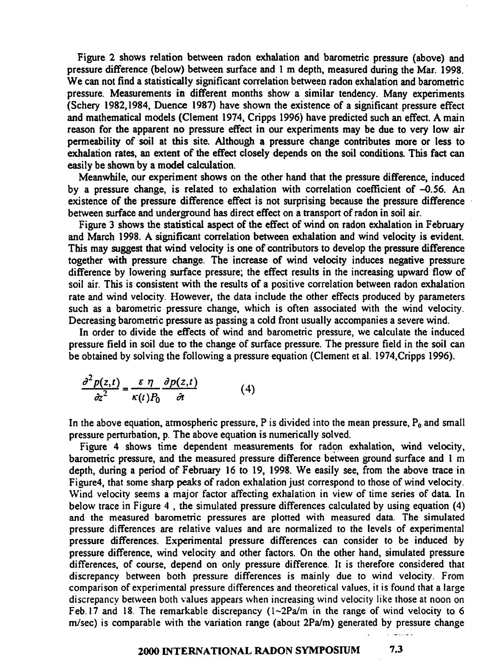Figure 2 shows relation between radon exhalation and barometric pressure (above) and pressure difference (below) between surface and 1 m depth, measured during the Mar. 1998. We can not find a statistically significant correlation between radon exhalation and barometric pressure. Measurements in different months show a similar tendency. Many experiments (Schery 1982,1984, Duence 1987) have shown the existence of a significant pressure effect and mathematical models (Clement 1974, Cripps 1996) have predicted such an effect. A main reason for the apparent no pressure effect in our experiments may be due to very low air permeability of soil at this site. Although a pressure change contributes more or less to exhalation rates, an extent of the effect closely depends on the soil conditions. This fact can easily be shown by a model calculation.

Meanwhile, our experiment shows on the other hand that the pressure difference, induced by a pressure change, is related to exhalation with correlation coeficient of -0.56. **An**  existence of the pressure difference effect is not surprising because the pressure difference between surface and underground has direct effect on a transport of radon in soil air.

Figure 3 shows the statistical aspect of the effect of wind on radon exhalation in February and March 1998. A significant correlation between exhalation and wind velocity is evident. This may suggest that wind velocity is one of contributors to develop the pressure difference together with pressure change. The increase of wind velocity induces negative pressure difference by lowering surface pressure; the effect results in the increasing upward flow of soil air. This is consistent with the results of a positive correlation between radon exhalation rate and wind velocity. However, the data include the other effects produced by parameters such as a barometric pressure change, which is often associated with the wind velocity. Decreasing barometric pressure as passing a cold front usually accompanies a severe wind.

In order to divide the effects of wind and barometric pressure, we calculate the induced pressure field in soil due to the change of surface pressure. The pressure field in the soil can be obtained by solving the following a pressure equation (Clement et al. 1974,Cripps 1996).

$$
\frac{\partial^2 p(z,t)}{\partial z^2} = \frac{\varepsilon \eta}{\kappa(t)P_0} \frac{\partial p(z,t)}{\partial t}
$$
(4)

In the above equation, atmospheric pressure, P is divided into the mean pressure,  $P_0$  and small pressure perturbation, p. The above equation is numerically solved.

Figure 4 shows time dependent measurements for radon exhalation, wind velocity, barometric pressure, and the measured pressure difference between ground surface and 1 m depth, during a period of February 16 to 19, 1998. We easily see, from the above trace in Figure4, that some sharp peaks of radon exhalation just correspond to those of wind velocity. Wind velocity seems a major factor affecting exhalation in view of time series of data. In below trace in Figure 4, the simulated pressure differences calculated by using equation (4) and the measured barometric pressures **are** plotted with measured data. The simulated pressure differences are relative values and are normalized to the levels of experimental pressure differences. Experimental pressure differences can consider to be induced by pressure difference, wind velocity and other factors. On the other hand, simulated pressure differences, of course, depend on only pressure difference. It is therefore considered that discrepancy between both pressure differences is mainly due to wind velocity. From comparison of experimental pressure differences and theoretical values, it is found that a larse discrepancy between both values appears when increasing wind velocity like those at noon on Feb. 17 and 18. The remarkable discrepancy (1~2Pa/m in the range of wind velocity to 6  $m/sec$ ) is comparable with the variation range (about  $2Pa/m$ ) generated by pressure change

# **2000 INTERNATIONAL RADON SYMPOSIUM 7.3**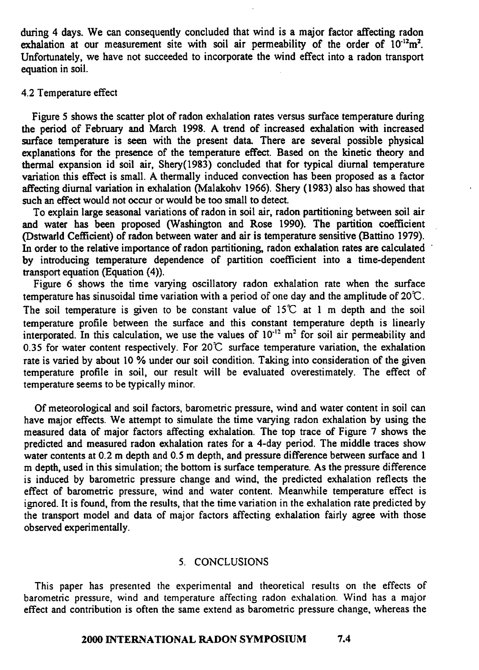during 4 days. We can consequently concluded that wind is a major factor affecting radon exhalation at our measurement site with soil air permeability of the order of  $10^{-12}m^2$ . Unfortunately, we have not succeeded to incorporate the wind effect into a radon transport equation in soil.

#### 4.2 Temperature effect

Figure **5** shows the scatter plot of radon exhalation rates versus surface temperature during the period of February and March 1998. **A** trend of increased exhalation with increased surface temperature is seen with the present data. There are several possible physical explanations for the presence of the temperature effect. Based on the kinetic theory and thermal expansion id soil air, Shery(1983) concluded that for typical diurnal temperature variation this effect is small. A thermally induced convection has been proposed as a factor affecting diurnal variation in exhalation (Malakohv 1966). Shery (1983) also **has** showed that such an effect would not occur or would be too small to detect.

To explain large seasonal variations of radon in soil air, radon partitioning between soil air and water has been proposed (Washington and Rose 1990). The partition coefficient (Dstwarld Ceficient) of radon between water and air is temperature sensitive (Battino 1979). In order to the relative importance of radon partitioning, radon exhalation rates are calculated by introducing temperature dependence of partition coefficient into a time-dependent transport equation (Equation (4)).

Figure 6 shows the time varying oscillatory radon exhalation rate when the surface temperature has sinusoidal time variation with a period of one day and the amplitude of *20C.*  The soil temperature is given to be constant value of  $15^{\circ}$  at 1 m depth and the soil temperature profile between the surface and this constant temperature depth is linearly interporated. In this calculation, we use the values of  $10^{-12}$  m<sup>2</sup> for soil air permeability and 0.35 for water content respectively. For **20C** surface temperature variation, the exhalation rate is varied by about 10 % under our soil condition. Taking into consideration of the given temperature profile in soil, our result will be evaluated overestimately. The effect of temperature seems to be typically minor.

Of meteorological and soil factors, barometric pressure, wind and water content in soil can have major effects. We attempt to simulate the time varying radon exhalation by using the measured data of major factors affecting exhalation. The top trace of Figure 7 shows the predicted and measured radon exhalation rates for a 4-day period. The middle traces show water contents at 0.2 m depth and 0.5 m depth, and pressure difference between surface and 1 m depth, used in this simulation; the bottom is surface temperature. As the pressure difference is induced by barometric pressure change and wind, the predicted exhalation reflects the effect of barometnc pressure, wind and water content, Meanwhile temperature effect is ignored. It is found, from the results, that the time variation in the exhalation rate predicted by the transport model and data of major factors affecting exhalation fairly agree with those obsewed experimentally.

#### **5.** CONCLUSIONS

This paper has presented the experimental and theoretical results on the effects of barometric pressure, wind and temperature affecting radon exhalation. Wind has a major effect and contribution is often the same extend as barometric pressure change, whereas the

# **2000 INTEkPATIONAL RADON SYMPOSIUM 7.4**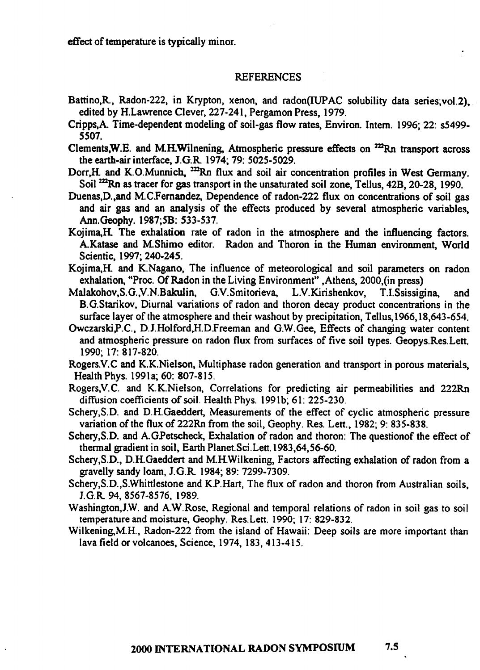effect of temperature is typically minor.

#### REFERENCES

- Battino,R, Radon-222, in Krypton, xenon, and radon(IUPAC solubility data series;vol.2), edited by H.Lawrence Clever, 227-241, Pergamon Press, 1979.
- Cripps,A Time-dependent modeling of soil-gas flow rates, Environ. Intern. 1996; 22: s5499- 5507.
- Clements, W.E. and M.H.Wilnening, Atmospheric pressure effects on  $^{222}$ Rn transport across the earth-air interface, J.G.R 1974; 79: 5025-5029.
- Dorr, H and K.O.Munnich, <sup>222</sup>Rn flux and soil air concentration profiles in West Germany. Soil <sup>222</sup>Rn as tracer for gas transport in the unsaturated soil zone, Tellus, 42B, 20-28, 1990.
- Duenas,D.,and M.C.Fernandez, Dependence of radon-222 flux on concentrations of soil gas and air gas and an analysis of the effects produced by several atmospheric variables, **Ann.** Geophy. 1987;5B: 533-537.
- Kojima,H The exhalation rate of radon in the atmosphere and the influencing factors. AKatase and **MShimo** editor. Radon and Thoron in the Human environment, World Scientic, 1997; 240-245.
- Kojima,H and K.Nagano, The influence of meteorological and soil parameters on radon exhalation, "Proc. Of Radon in the Living Environment" ,Athens, 2000,(in press)
- **Malakohov,S.G.,V.N.Bakulin,** G.V.Smitorieva, L.V.Kirishenkov, T.I.Ssissigina, and B.G.Starikov, Diurnal variations of radon and thoron decay product concentrations in the surface layer of the atmosphere and their washout by precipitation, Tellus,1966,18,643-654.
- Owczarski,P.C., D.J.Holford,H.DIreeman and G.W.Gee, Effects of changing water content and atmospheric pressure on radon flux from surfaces of five soil types. Geopys.Res.Lett. 1990; 17: 8 17-820.
- Rogers.V.C and K.K.Nielson, Multiphase radon generation and transport in porous materials, Health Phys. 1991a; 60: 807-8 15.
- Rogers, V.C. and K.K.Nielson, Correlations for predicting air permeabilities and 222Rn diffusion coefficients of soil. Health Phys. 1991b; 61: 225-230.
- Schery,S.D. and D.H.Gaeddert, Measurements of the effect of cyclic atmospheric pressure variation of the flux of 222Rn from the soil, Geophy. Res. Lett., 1982; 9: 835-838.
- Schery, S.D. and A.GPetscheck, Exhalation of radon and thoron: The questionof the effect of thermal gradient in soil, Earth Planet.Sci.Lett. 1983,64,56-60.
- Schery, S.D., D.H.Gaeddert and M.H.Wilkening, Factors affecting exhalation of radon from a gravelly sandy loam, J.G.R 1984; 89: 7299-7309.
- **Schery,S.D.,S.Whittlestone** and KP.Hart, The flux of radon and thoron from Australian soils, J.G.R 94, 8567-8576, 1989.
- Washington,J.W. and A.W.Rose, Regional and temporal relations of radon in soil gas to soil temperature and moisture, **Geophy.** Res.Lett. **1990;** 17: 829-832.
- Wilkening,M.H., Radon-222 from the island of Hawaii: Deep soils are more important than lava field or volcanoes, Science, 1974, 183, 413-415.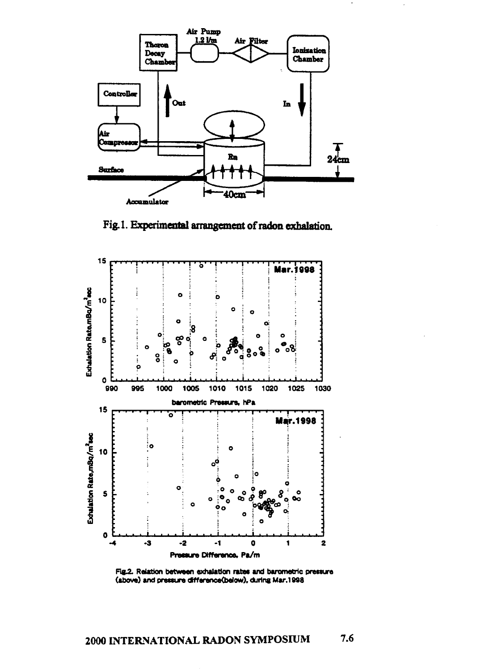

**Fig. 1. Experimental arrangement of radon exhalation** 



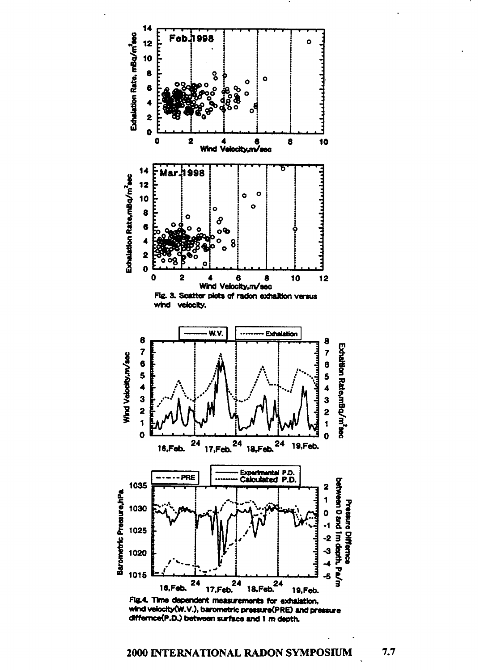

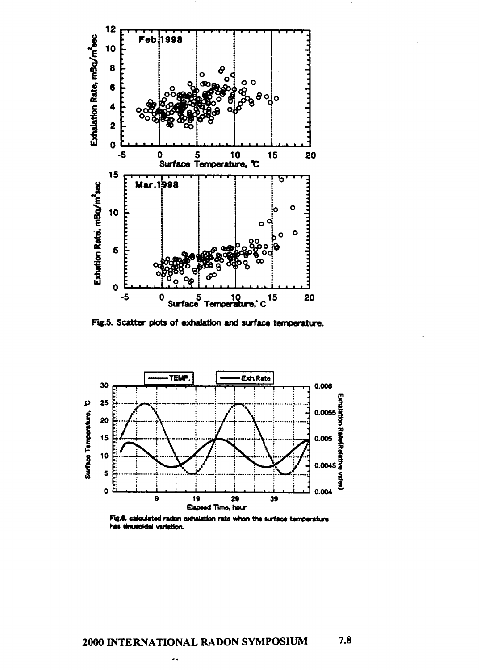

Fig.5. Scatter plots of exhalation and surface temperature.



Fig.6. calculated radon exhalation rate when the surface temperature has sinusoidal variation.

۰,